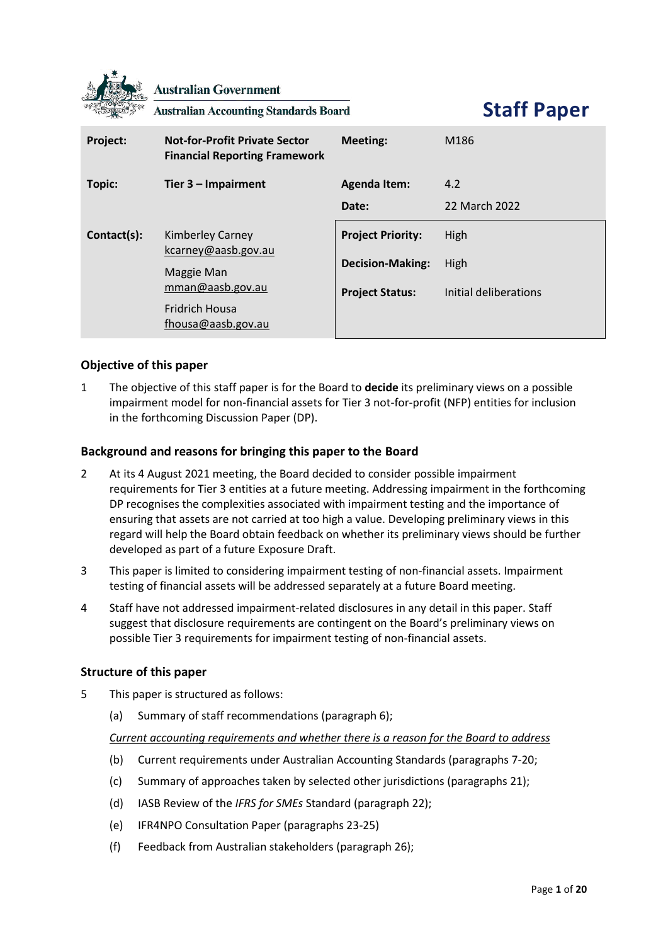

**Australian Government** 

**Australian Accounting Standards Board** 

**Staff Paper**

| Project:    | <b>Not-for-Profit Private Sector</b><br><b>Financial Reporting Framework</b> | Meeting:                 | M186                  |
|-------------|------------------------------------------------------------------------------|--------------------------|-----------------------|
| Topic:      | Tier $3$ – Impairment                                                        | <b>Agenda Item:</b>      | 4.2                   |
|             |                                                                              | Date:                    | 22 March 2022         |
| Contact(s): | <b>Kimberley Carney</b><br>kcarney@aasb.gov.au                               | <b>Project Priority:</b> | High                  |
|             | Maggie Man<br>mman@aasb.gov.au                                               | <b>Decision-Making:</b>  | High                  |
|             |                                                                              | <b>Project Status:</b>   | Initial deliberations |
|             | <b>Fridrich Housa</b><br>fhousa@aasb.gov.au                                  |                          |                       |

## **Objective of this paper**

1 The objective of this staff paper is for the Board to **decide** its preliminary views on a possible impairment model for non-financial assets for Tier 3 not-for-profit (NFP) entities for inclusion in the forthcoming Discussion Paper (DP).

## **Background and reasons for bringing this paper to the Board**

- 2 At its 4 August 2021 meeting, the Board decided to consider possible impairment requirements for Tier 3 entities at a future meeting. Addressing impairment in the forthcoming DP recognises the complexities associated with impairment testing and the importance of ensuring that assets are not carried at too high a value. Developing preliminary views in this regard will help the Board obtain feedback on whether its preliminary views should be further developed as part of a future Exposure Draft.
- <span id="page-0-0"></span>3 This paper is limited to considering impairment testing of non-financial assets. Impairment testing of financial assets will be addressed separately at a future Board meeting.
- 4 Staff have not addressed impairment-related disclosures in any detail in this paper. Staff suggest that disclosure requirements are contingent on the Board's preliminary views on possible Tier 3 requirements for impairment testing of non-financial assets.

### **Structure of this paper**

- 5 This paper is structured as follows:
	- (a) [Summary of staff recommendations](#page-1-0) (paragraph [6\)](#page-1-1);

*Current accounting requirements and whether there is a reason for the Board to address*

- (b) Current requirements [under Australian Accounting Standards](#page-2-0) (paragraphs [7-](#page-2-1)[20;](#page-4-0)
- (c) [Summary of approaches taken by selected other jurisdictions](#page-4-1) (paragraph[s 21\)](#page-4-2);
- (d) [IASB Review of the](#page-5-0) *IFRS for SMEs* Standard (paragraph [22\)](#page-5-1);
- (e) [IFR4NPO Consultation Paper](#page-5-2) (paragraphs [23](#page-5-3)[-25\)](#page-5-4)
- (f) [Feedback from Australian stakeholders](#page-6-0) (paragraph [26\)](#page-6-1);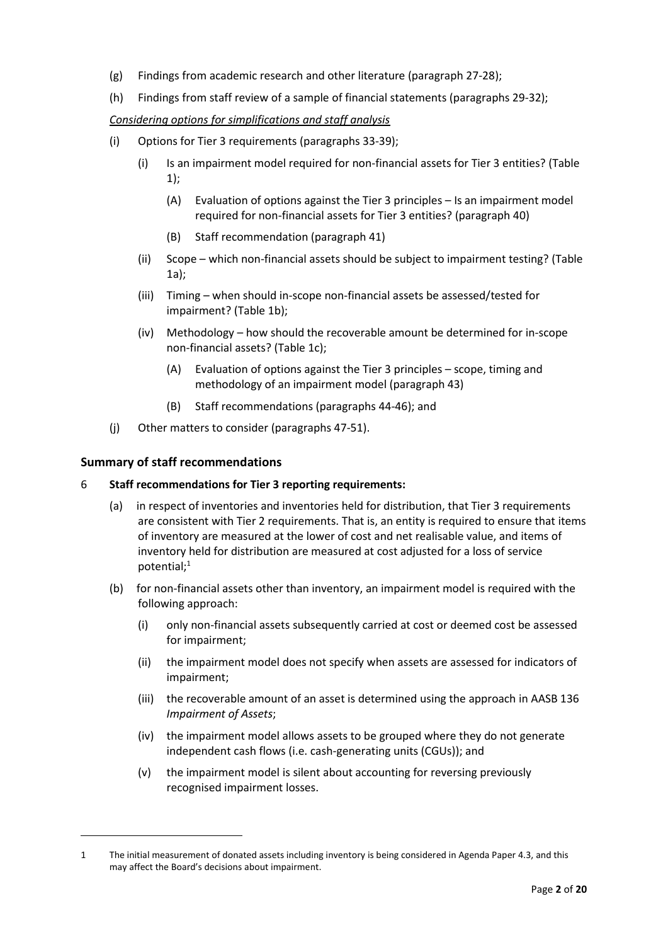- (g) [Findings from academic research](#page-6-2) and other literature (paragraph [27-](#page-6-3)[28\)](#page-6-4);
- (h) [Findings from staff review of a sample of financial statements](#page-7-0) (paragraphs [29](#page-7-1)[-32\)](#page-7-2);

### *Considering options for simplifications and staff analysis*

- (i) [Options for Tier 3 requirements](#page-7-3) (paragraphs [33](#page-7-4)[-39\)](#page-9-0);
	- (i) [Is an impairment model required for non-financial assets for Tier 3 entities?](#page-10-0) [\(Table](#page-10-0)  [1\)](#page-10-0);
		- (A) [Evaluation of options against the Tier 3 principles](#page-11-0)  Is an impairment model [required for non-financial assets for Tier 3 entities?](#page-11-0) (paragraph [40\)](#page-11-1)
		- (B) [Staff recommendation](#page-12-0) (paragraph [41\)](#page-12-1)
	- (ii) Scope [which non-financial assets should be subject to impairment testing?](#page-13-0) [\(Table](#page-13-0)  [1a\)](#page-13-0);
	- (iii) Timing [when should in-scope non-financial assets be assessed/tested for](#page-14-0)  [impairment?](#page-14-0) [\(Table 1b\)](#page-14-0);
	- (iv) Methodology [how should the recoverable amount be determined for in-scope](#page-16-0)  [non-financial assets?](#page-16-0) [\(Table 1c\)](#page-16-0);
		- (A) [Evaluation of options against the Tier 3 principles](#page-17-0)  scope, timing and [methodology of an impairment model](#page-17-0) (paragraph [43\)](#page-17-1)
		- (B) Staff [recommendations](#page-17-2) (paragraph[s 44](#page-17-3)[-46\)](#page-18-0); and
- (j) [Other matters to consider](#page-18-1) (paragraphs [47](#page-18-2)[-51\)](#page-19-0).

## <span id="page-1-0"></span>**Summary of staff recommendations**

### <span id="page-1-1"></span>6 **Staff recommendations for Tier 3 reporting requirements:**

- (a) in respect of inventories and inventories held for distribution, that Tier 3 requirements are consistent with Tier 2 requirements. That is, an entity is required to ensure that items of inventory are measured at the lower of cost and net realisable value, and items of inventory held for distribution are measured at cost adjusted for a loss of service potential; $<sup>1</sup>$ </sup>
- (b) for non-financial assets other than inventory, an impairment model is required with the following approach:
	- (i) only non-financial assets subsequently carried at cost or deemed cost be assessed for impairment;
	- (ii) the impairment model does not specify when assets are assessed for indicators of impairment;
	- (iii) the recoverable amount of an asset is determined using the approach in AASB 136 *Impairment of Assets*;
	- (iv) the impairment model allows assets to be grouped where they do not generate independent cash flows (i.e. cash-generating units (CGUs)); and
	- (v) the impairment model is silent about accounting for reversing previously recognised impairment losses.

<sup>1</sup> The initial measurement of donated assets including inventory is being considered in Agenda Paper 4.3, and this may affect the Board's decisions about impairment.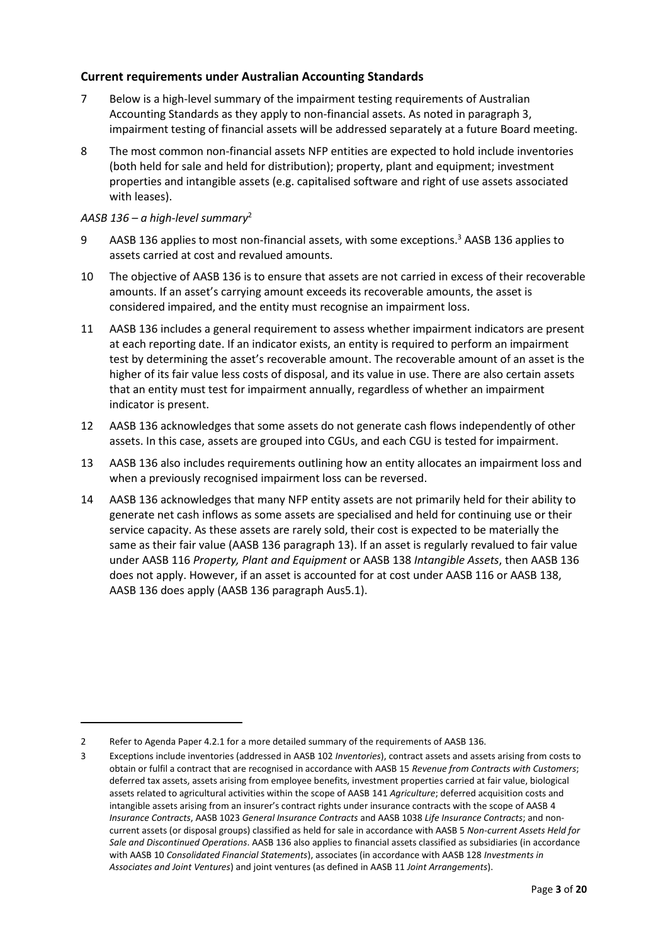## <span id="page-2-0"></span>**Current requirements under Australian Accounting Standards**

- <span id="page-2-1"></span>7 Below is a high-level summary of the impairment testing requirements of Australian Accounting Standards as they apply to non-financial assets. As noted in paragraph [3,](#page-0-0) impairment testing of financial assets will be addressed separately at a future Board meeting.
- 8 The most common non-financial assets NFP entities are expected to hold include inventories (both held for sale and held for distribution); property, plant and equipment; investment properties and intangible assets (e.g. capitalised software and right of use assets associated with leases).

#### *AASB 136 – a high-level summary*<sup>2</sup>

- 9 AASB 136 applies to most non-financial assets, with some exceptions.<sup>3</sup> AASB 136 applies to assets carried at cost and revalued amounts.
- 10 The objective of AASB 136 is to ensure that assets are not carried in excess of their recoverable amounts. If an asset's carrying amount exceeds its recoverable amounts, the asset is considered impaired, and the entity must recognise an impairment loss.
- 11 AASB 136 includes a general requirement to assess whether impairment indicators are present at each reporting date. If an indicator exists, an entity is required to perform an impairment test by determining the asset's recoverable amount. The recoverable amount of an asset is the higher of its fair value less costs of disposal, and its value in use. There are also certain assets that an entity must test for impairment annually, regardless of whether an impairment indicator is present.
- 12 AASB 136 acknowledges that some assets do not generate cash flows independently of other assets. In this case, assets are grouped into CGUs, and each CGU is tested for impairment.
- 13 AASB 136 also includes requirements outlining how an entity allocates an impairment loss and when a previously recognised impairment loss can be reversed.
- 14 AASB 136 acknowledges that many NFP entity assets are not primarily held for their ability to generate net cash inflows as some assets are specialised and held for continuing use or their service capacity. As these assets are rarely sold, their cost is expected to be materially the same as their fair value (AASB 136 paragraph 13). If an asset is regularly revalued to fair value under AASB 116 *Property, Plant and Equipment* or AASB 138 *Intangible Assets*, then AASB 136 does not apply. However, if an asset is accounted for at cost under AASB 116 or AASB 138, AASB 136 does apply (AASB 136 paragraph Aus5.1).

<sup>2</sup> Refer to Agenda Paper 4.2.1 for a more detailed summary of the requirements of AASB 136.

<sup>3</sup> Exceptions include inventories (addressed in AASB 102 *Inventories*), contract assets and assets arising from costs to obtain or fulfil a contract that are recognised in accordance with AASB 15 *Revenue from Contracts with Customers*; deferred tax assets, assets arising from employee benefits, investment properties carried at fair value, biological assets related to agricultural activities within the scope of AASB 141 *Agriculture*; deferred acquisition costs and intangible assets arising from an insurer's contract rights under insurance contracts with the scope of AASB 4 *Insurance Contracts*, AASB 1023 *General Insurance Contracts* and AASB 1038 *Life Insurance Contracts*; and noncurrent assets (or disposal groups) classified as held for sale in accordance with AASB 5 *Non-current Assets Held for Sale and Discontinued Operations*. AASB 136 also applies to financial assets classified as subsidiaries (in accordance with AASB 10 *Consolidated Financial Statements*), associates (in accordance with AASB 128 *Investments in Associates and Joint Ventures*) and joint ventures (as defined in AASB 11 *Joint Arrangements*).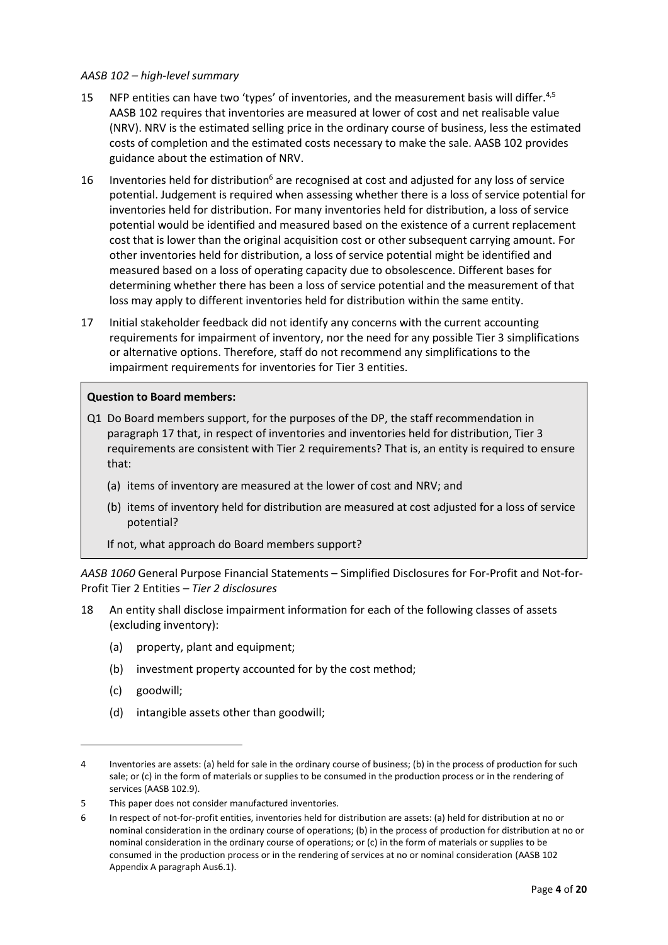#### *AASB 102 – high-level summary*

- 15 NFP entities can have two 'types' of inventories, and the measurement basis will differ.<sup>4,5</sup> AASB 102 requires that inventories are measured at lower of cost and net realisable value (NRV). NRV is the estimated selling price in the ordinary course of business, less the estimated costs of completion and the estimated costs necessary to make the sale. AASB 102 provides guidance about the estimation of NRV.
- 16 Inventories held for distribution<sup>6</sup> are recognised at cost and adjusted for any loss of service potential. Judgement is required when assessing whether there is a loss of service potential for inventories held for distribution. For many inventories held for distribution, a loss of service potential would be identified and measured based on the existence of a current replacement cost that is lower than the original acquisition cost or other subsequent carrying amount. For other inventories held for distribution, a loss of service potential might be identified and measured based on a loss of operating capacity due to obsolescence. Different bases for determining whether there has been a loss of service potential and the measurement of that loss may apply to different inventories held for distribution within the same entity.
- <span id="page-3-0"></span>17 Initial stakeholder feedback did not identify any concerns with the current accounting requirements for impairment of inventory, nor the need for any possible Tier 3 simplifications or alternative options. Therefore, staff do not recommend any simplifications to the impairment requirements for inventories for Tier 3 entities.

#### **Question to Board members:**

- Q1 Do Board members support, for the purposes of the DP, the staff recommendation in paragraph [17](#page-3-0) that, in respect of inventories and inventories held for distribution, Tier 3 requirements are consistent with Tier 2 requirements? That is, an entity is required to ensure that:
	- (a) items of inventory are measured at the lower of cost and NRV; and
	- (b) items of inventory held for distribution are measured at cost adjusted for a loss of service potential?

If not, what approach do Board members support?

*AASB 1060* General Purpose Financial Statements – Simplified Disclosures for For-Profit and Not-for-Profit Tier 2 Entities *– Tier 2 disclosures*

- 18 An entity shall disclose impairment information for each of the following classes of assets (excluding inventory):
	- (a) property, plant and equipment;
	- (b) investment property accounted for by the cost method;
	- (c) goodwill;
	- (d) intangible assets other than goodwill;

<sup>4</sup> Inventories are assets: (a) held for sale in the ordinary course of business; (b) in the process of production for such sale; or (c) in the form of materials or supplies to be consumed in the production process or in the rendering of services (AASB 102.9).

<sup>5</sup> This paper does not consider manufactured inventories.

<sup>6</sup> In respect of not-for-profit entities, inventories held for distribution are assets: (a) held for distribution at no or nominal consideration in the ordinary course of operations; (b) in the process of production for distribution at no or nominal consideration in the ordinary course of operations; or (c) in the form of materials or supplies to be consumed in the production process or in the rendering of services at no or nominal consideration (AASB 102 Appendix A paragraph Aus6.1).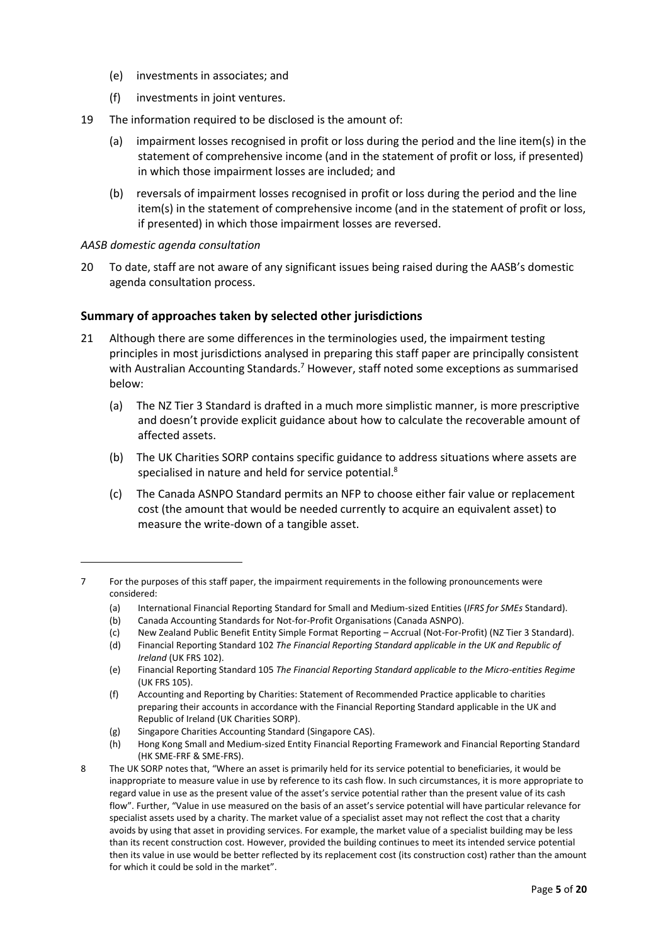- (e) investments in associates; and
- (f) investments in joint ventures.
- 19 The information required to be disclosed is the amount of:
	- (a) impairment losses recognised in profit or loss during the period and the line item(s) in the statement of comprehensive income (and in the statement of profit or loss, if presented) in which those impairment losses are included; and
	- (b) reversals of impairment losses recognised in profit or loss during the period and the line item(s) in the statement of comprehensive income (and in the statement of profit or loss, if presented) in which those impairment losses are reversed.

## *AASB domestic agenda consultation*

<span id="page-4-0"></span>20 To date, staff are not aware of any significant issues being raised during the AASB's domestic agenda consultation process.

## <span id="page-4-1"></span>**Summary of approaches taken by selected other jurisdictions**

- <span id="page-4-2"></span>21 Although there are some differences in the terminologies used, the impairment testing principles in most jurisdictions analysed in preparing this staff paper are principally consistent with Australian Accounting Standards.<sup>7</sup> However, staff noted some exceptions as summarised below:
	- (a) The NZ Tier 3 Standard is drafted in a much more simplistic manner, is more prescriptive and doesn't provide explicit guidance about how to calculate the recoverable amount of affected assets.
	- (b) The UK Charities SORP contains specific guidance to address situations where assets are specialised in nature and held for service potential.<sup>8</sup>
	- (c) The Canada ASNPO Standard permits an NFP to choose either fair value or replacement cost (the amount that would be needed currently to acquire an equivalent asset) to measure the write-down of a tangible asset.

- (a) International Financial Reporting Standard for Small and Medium-sized Entities (*IFRS for SMEs* Standard).
- (b) Canada Accounting Standards for Not-for-Profit Organisations (Canada ASNPO).
- (c) New Zealand Public Benefit Entity Simple Format Reporting Accrual (Not-For-Profit) (NZ Tier 3 Standard).
- (d) Financial Reporting Standard 102 *The Financial Reporting Standard applicable in the UK and Republic of Ireland* (UK FRS 102).

(g) Singapore Charities Accounting Standard (Singapore CAS).

<sup>7</sup> For the purposes of this staff paper, the impairment requirements in the following pronouncements were considered:

<sup>(</sup>e) Financial Reporting Standard 105 *The Financial Reporting Standard applicable to the Micro-entities Regime* (UK FRS 105).

<sup>(</sup>f) Accounting and Reporting by Charities: Statement of Recommended Practice applicable to charities preparing their accounts in accordance with the Financial Reporting Standard applicable in the UK and Republic of Ireland (UK Charities SORP).

<sup>(</sup>h) Hong Kong Small and Medium-sized Entity Financial Reporting Framework and Financial Reporting Standard (HK SME-FRF & SME-FRS).

<sup>8</sup> The UK SORP notes that, "Where an asset is primarily held for its service potential to beneficiaries, it would be inappropriate to measure value in use by reference to its cash flow. In such circumstances, it is more appropriate to regard value in use as the present value of the asset's service potential rather than the present value of its cash flow". Further, "Value in use measured on the basis of an asset's service potential will have particular relevance for specialist assets used by a charity. The market value of a specialist asset may not reflect the cost that a charity avoids by using that asset in providing services. For example, the market value of a specialist building may be less than its recent construction cost. However, provided the building continues to meet its intended service potential then its value in use would be better reflected by its replacement cost (its construction cost) rather than the amount for which it could be sold in the market".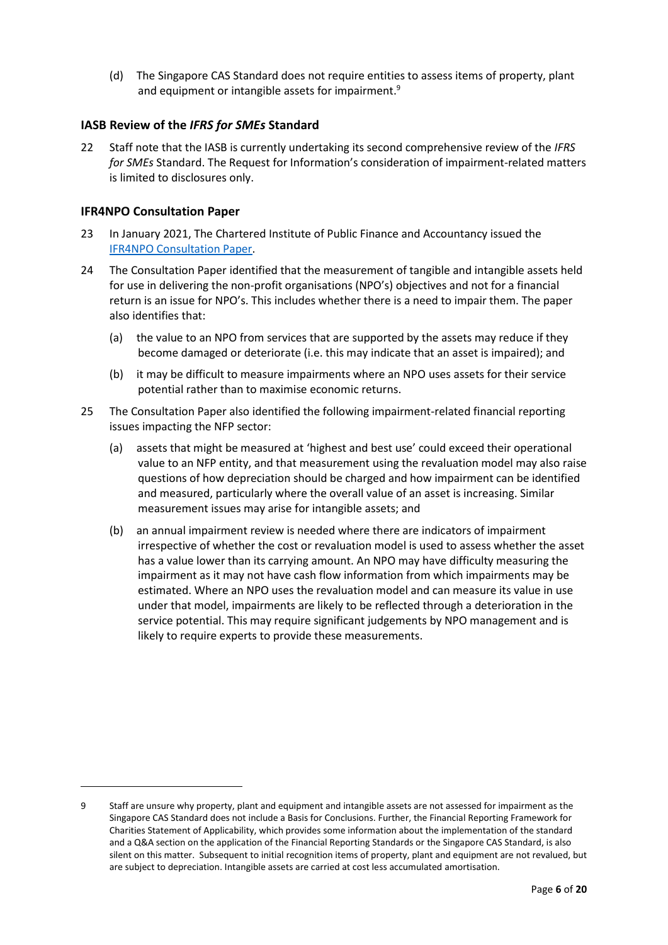(d) The Singapore CAS Standard does not require entities to assess items of property, plant and equipment or intangible assets for impairment.<sup>9</sup>

## <span id="page-5-0"></span>**IASB Review of the** *IFRS for SMEs* **Standard**

<span id="page-5-1"></span>22 Staff note that the IASB is currently undertaking its second comprehensive review of the *IFRS for SMEs* Standard. The Request for Information's consideration of impairment-related matters is limited to disclosures only.

## <span id="page-5-2"></span>**IFR4NPO Consultation Paper**

- <span id="page-5-3"></span>23 In January 2021, The Chartered Institute of Public Finance and Accountancy issued the [IFR4NPO Consultation Paper.](https://www.ifr4npo.org/cp/)
- 24 The Consultation Paper identified that the measurement of tangible and intangible assets held for use in delivering the non-profit organisations (NPO's) objectives and not for a financial return is an issue for NPO's. This includes whether there is a need to impair them. The paper also identifies that:
	- (a) the value to an NPO from services that are supported by the assets may reduce if they become damaged or deteriorate (i.e. this may indicate that an asset is impaired); and
	- (b) it may be difficult to measure impairments where an NPO uses assets for their service potential rather than to maximise economic returns.
- <span id="page-5-4"></span>25 The Consultation Paper also identified the following impairment-related financial reporting issues impacting the NFP sector:
	- (a) assets that might be measured at 'highest and best use' could exceed their operational value to an NFP entity, and that measurement using the revaluation model may also raise questions of how depreciation should be charged and how impairment can be identified and measured, particularly where the overall value of an asset is increasing. Similar measurement issues may arise for intangible assets; and
	- (b) an annual impairment review is needed where there are indicators of impairment irrespective of whether the cost or revaluation model is used to assess whether the asset has a value lower than its carrying amount. An NPO may have difficulty measuring the impairment as it may not have cash flow information from which impairments may be estimated. Where an NPO uses the revaluation model and can measure its value in use under that model, impairments are likely to be reflected through a deterioration in the service potential. This may require significant judgements by NPO management and is likely to require experts to provide these measurements.

<sup>9</sup> Staff are unsure why property, plant and equipment and intangible assets are not assessed for impairment as the Singapore CAS Standard does not include a Basis for Conclusions. Further, the Financial Reporting Framework for Charities Statement of Applicability, which provides some information about the implementation of the standard and a Q&A section on the application of the Financial Reporting Standards or the Singapore CAS Standard, is also silent on this matter. Subsequent to initial recognition items of property, plant and equipment are not revalued, but are subject to depreciation. Intangible assets are carried at cost less accumulated amortisation.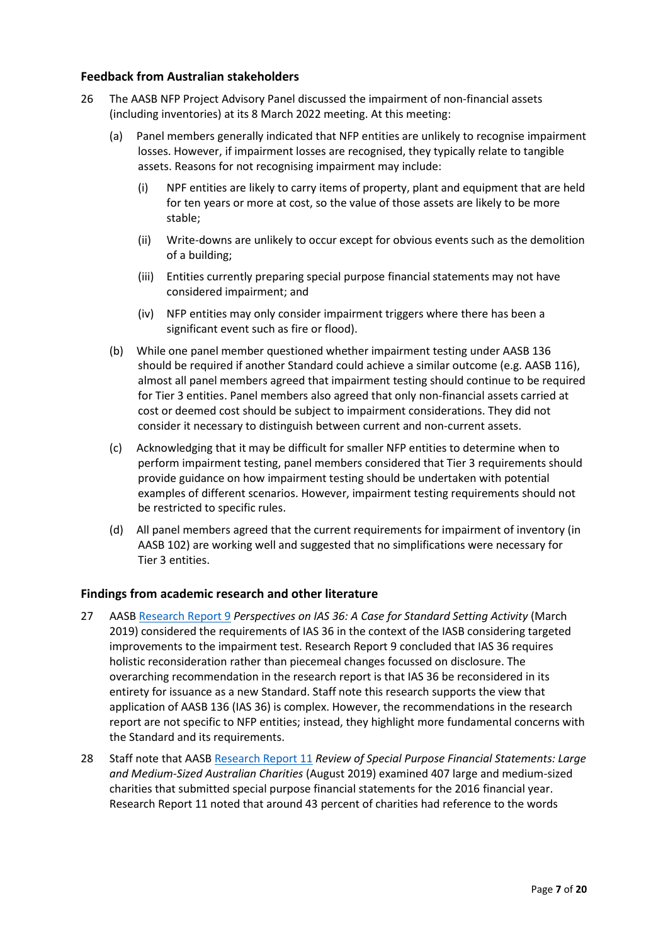## <span id="page-6-0"></span>**Feedback from Australian stakeholders**

- <span id="page-6-1"></span>26 The AASB NFP Project Advisory Panel discussed the impairment of non-financial assets (including inventories) at its 8 March 2022 meeting. At this meeting:
	- (a) Panel members generally indicated that NFP entities are unlikely to recognise impairment losses. However, if impairment losses are recognised, they typically relate to tangible assets. Reasons for not recognising impairment may include:
		- (i) NPF entities are likely to carry items of property, plant and equipment that are held for ten years or more at cost, so the value of those assets are likely to be more stable;
		- (ii) Write-downs are unlikely to occur except for obvious events such as the demolition of a building;
		- (iii) Entities currently preparing special purpose financial statements may not have considered impairment; and
		- (iv) NFP entities may only consider impairment triggers where there has been a significant event such as fire or flood).
	- (b) While one panel member questioned whether impairment testing under AASB 136 should be required if another Standard could achieve a similar outcome (e.g. AASB 116), almost all panel members agreed that impairment testing should continue to be required for Tier 3 entities. Panel members also agreed that only non-financial assets carried at cost or deemed cost should be subject to impairment considerations. They did not consider it necessary to distinguish between current and non-current assets.
	- (c) Acknowledging that it may be difficult for smaller NFP entities to determine when to perform impairment testing, panel members considered that Tier 3 requirements should provide guidance on how impairment testing should be undertaken with potential examples of different scenarios. However, impairment testing requirements should not be restricted to specific rules.
	- (d) All panel members agreed that the current requirements for impairment of inventory (in AASB 102) are working well and suggested that no simplifications were necessary for Tier 3 entities.

## <span id="page-6-2"></span>**Findings from academic research and other literature**

- <span id="page-6-3"></span>27 AASB [Research Report 9](https://www.aasb.gov.au/admin/file/content102/c3/AASB_RR09_03-19Impairment_1552539258244.pdf) *Perspectives on IAS 36: A Case for Standard Setting Activity* (March 2019) considered the requirements of IAS 36 in the context of the IASB considering targeted improvements to the impairment test. Research Report 9 concluded that IAS 36 requires holistic reconsideration rather than piecemeal changes focussed on disclosure. The overarching recommendation in the research report is that IAS 36 be reconsidered in its entirety for issuance as a new Standard. Staff note this research supports the view that application of AASB 136 (IAS 36) is complex. However, the recommendations in the research report are not specific to NFP entities; instead, they highlight more fundamental concerns with the Standard and its requirements.
- <span id="page-6-4"></span>28 Staff note that AASB [Research Report 11](https://aasb.gov.au/admin/file/content102/c3/AASB_RR11_ACNCreport.pdf) *Review of Special Purpose Financial Statements: Large and Medium-Sized Australian Charities* (August 2019) examined 407 large and medium-sized charities that submitted special purpose financial statements for the 2016 financial year. Research Report 11 noted that around 43 percent of charities had reference to the words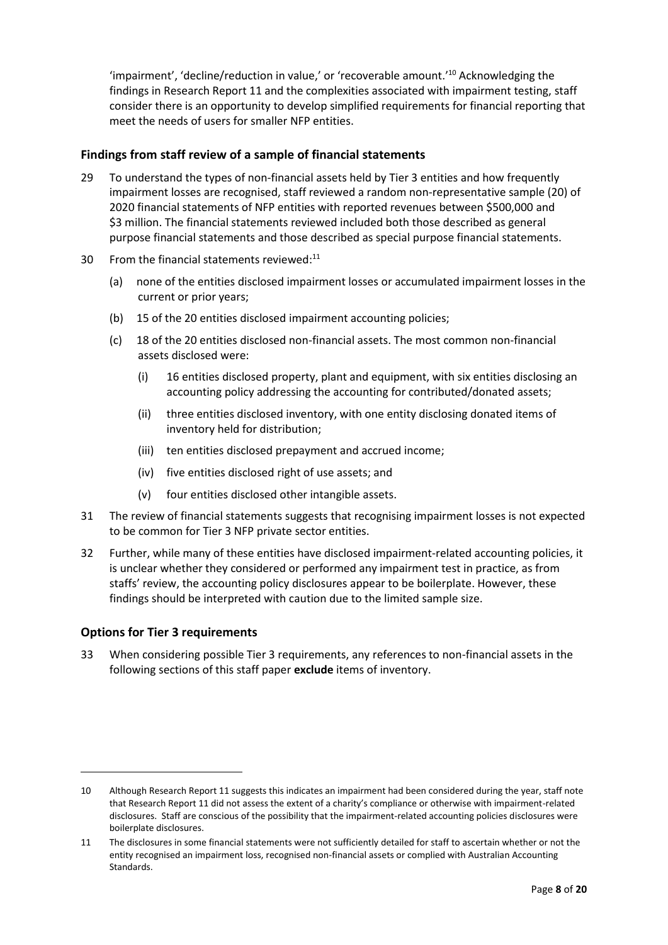'impairment', 'decline/reduction in value,' or 'recoverable amount.'<sup>10</sup> Acknowledging the findings in Research Report 11 and the complexities associated with impairment testing, staff consider there is an opportunity to develop simplified requirements for financial reporting that meet the needs of users for smaller NFP entities.

## <span id="page-7-0"></span>**Findings from staff review of a sample of financial statements**

- <span id="page-7-1"></span>29 To understand the types of non-financial assets held by Tier 3 entities and how frequently impairment losses are recognised, staff reviewed a random non-representative sample (20) of 2020 financial statements of NFP entities with reported revenues between \$500,000 and \$3 million. The financial statements reviewed included both those described as general purpose financial statements and those described as special purpose financial statements.
- 30 From the financial statements reviewed: $11$ 
	- (a) none of the entities disclosed impairment losses or accumulated impairment losses in the current or prior years;
	- (b) 15 of the 20 entities disclosed impairment accounting policies;
	- (c) 18 of the 20 entities disclosed non-financial assets. The most common non-financial assets disclosed were:
		- (i) 16 entities disclosed property, plant and equipment, with six entities disclosing an accounting policy addressing the accounting for contributed/donated assets;
		- (ii) three entities disclosed inventory, with one entity disclosing donated items of inventory held for distribution;
		- (iii) ten entities disclosed prepayment and accrued income;
		- (iv) five entities disclosed right of use assets; and
		- (v) four entities disclosed other intangible assets.
- 31 The review of financial statements suggests that recognising impairment losses is not expected to be common for Tier 3 NFP private sector entities.
- <span id="page-7-2"></span>32 Further, while many of these entities have disclosed impairment-related accounting policies, it is unclear whether they considered or performed any impairment test in practice, as from staffs' review, the accounting policy disclosures appear to be boilerplate. However, these findings should be interpreted with caution due to the limited sample size.

### <span id="page-7-3"></span>**Options for Tier 3 requirements**

<span id="page-7-4"></span>33 When considering possible Tier 3 requirements, any references to non-financial assets in the following sections of this staff paper **exclude** items of inventory.

<sup>10</sup> Although Research Report 11 suggests this indicates an impairment had been considered during the year, staff note that Research Report 11 did not assess the extent of a charity's compliance or otherwise with impairment-related disclosures. Staff are conscious of the possibility that the impairment-related accounting policies disclosures were boilerplate disclosures.

<sup>11</sup> The disclosures in some financial statements were not sufficiently detailed for staff to ascertain whether or not the entity recognised an impairment loss, recognised non-financial assets or complied with Australian Accounting Standards.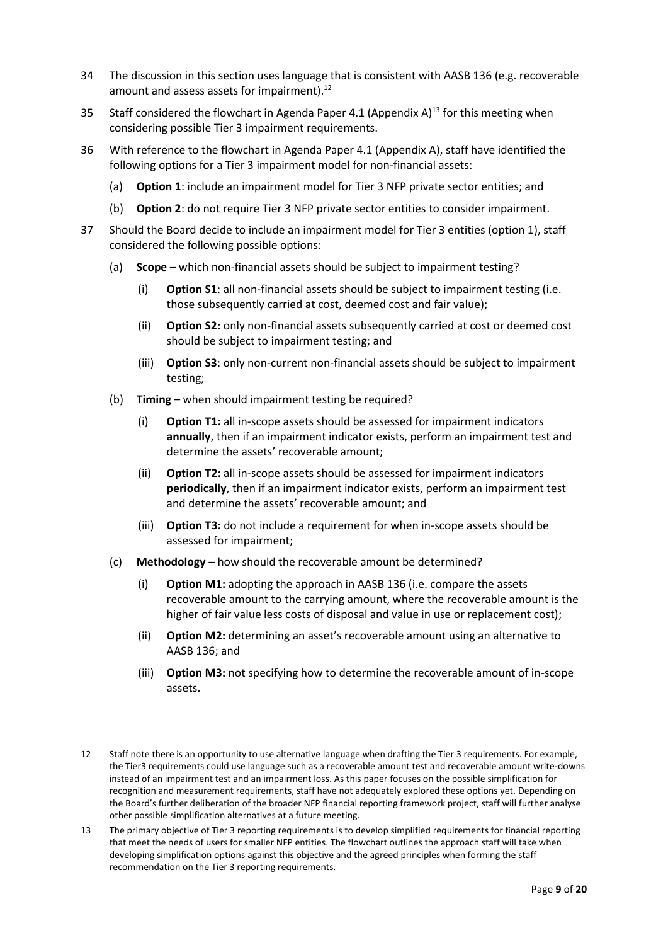- 34 The discussion in this section uses language that is consistent with AASB 136 (e.g. recoverable amount and assess assets for impairment). $^{12}$
- 35 Staff considered the flowchart in Agenda Paper 4.1 (Appendix A)<sup>13</sup> for this meeting when considering possible Tier 3 impairment requirements.
- 36 With reference to the flowchart in Agenda Paper 4.1 (Appendix A), staff have identified the following options for a Tier 3 impairment model for non-financial assets:
	- (a) **Option 1**: include an impairment model for Tier 3 NFP private sector entities; and
	- (b) **Option 2**: do not require Tier 3 NFP private sector entities to consider impairment.
- 37 Should the Board decide to include an impairment model for Tier 3 entities (option 1), staff considered the following possible options:
	- (a) **Scope**  which non-financial assets should be subject to impairment testing?
		- (i) **Option S1**: all non-financial assets should be subject to impairment testing (i.e. those subsequently carried at cost, deemed cost and fair value);
		- (ii) **Option S2:** only non-financial assets subsequently carried at cost or deemed cost should be subject to impairment testing; and
		- (iii) **Option S3**: only non-current non-financial assets should be subject to impairment testing;
	- (b) **Timing**  when should impairment testing be required?
		- (i) **Option T1:** all in-scope assets should be assessed for impairment indicators **annually**, then if an impairment indicator exists, perform an impairment test and determine the assets' recoverable amount;
		- (ii) **Option T2:** all in-scope assets should be assessed for impairment indicators **periodically**, then if an impairment indicator exists, perform an impairment test and determine the assets' recoverable amount; and
		- (iii) **Option T3:** do not include a requirement for when in-scope assets should be assessed for impairment;
	- (c) **Methodology** how should the recoverable amount be determined?
		- (i) **Option M1:** adopting the approach in AASB 136 (i.e. compare the assets recoverable amount to the carrying amount, where the recoverable amount is the higher of fair value less costs of disposal and value in use or replacement cost);
		- (ii) **Option M2:** determining an asset's recoverable amount using an alternative to AASB 136; and
		- (iii) **Option M3:** not specifying how to determine the recoverable amount of in-scope assets.

<sup>12</sup> Staff note there is an opportunity to use alternative language when drafting the Tier 3 requirements. For example, the Tier3 requirements could use language such as a recoverable amount test and recoverable amount write-downs instead of an impairment test and an impairment loss. As this paper focuses on the possible simplification for recognition and measurement requirements, staff have not adequately explored these options yet. Depending on the Board's further deliberation of the broader NFP financial reporting framework project, staff will further analyse other possible simplification alternatives at a future meeting.

<sup>13</sup> The primary objective of Tier 3 reporting requirements is to develop simplified requirements for financial reporting that meet the needs of users for smaller NFP entities. The flowchart outlines the approach staff will take when developing simplification options against this objective and the agreed principles when forming the staff recommendation on the Tier 3 reporting requirements.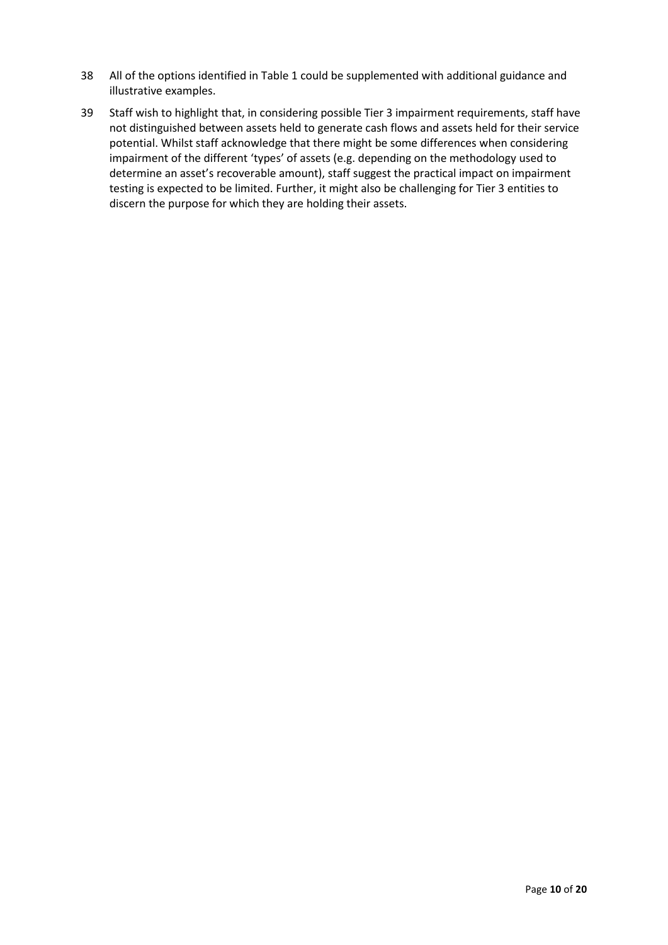- 38 All of the options identified in Table 1 could be supplemented with additional guidance and illustrative examples.
- <span id="page-9-0"></span>39 Staff wish to highlight that, in considering possible Tier 3 impairment requirements, staff have not distinguished between assets held to generate cash flows and assets held for their service potential. Whilst staff acknowledge that there might be some differences when considering impairment of the different 'types' of assets (e.g. depending on the methodology used to determine an asset's recoverable amount), staff suggest the practical impact on impairment testing is expected to be limited. Further, it might also be challenging for Tier 3 entities to discern the purpose for which they are holding their assets.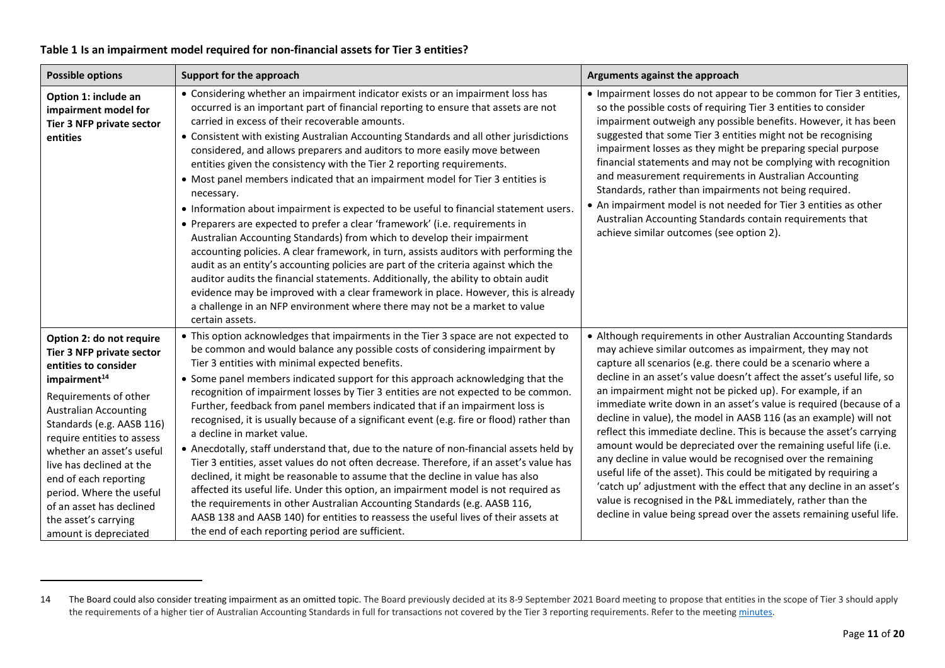## **Table 1 Is an impairment model required for non-financial assets for Tier 3 entities?**

<span id="page-10-0"></span>

| <b>Possible options</b>                                                                                                                                                                                                                                                                                                                                                                                                  | Support for the approach                                                                                                                                                                                                                                                                                                                                                                                                                                                                                                                                                                                                                                                                                                                                                                                                                                                                                                                                                                                                                                                                                                                                                                                                                                                                  | Arguments against the approach                                                                                                                                                                                                                                                                                                                                                                                                                                                                                                                                                                                                                                                                                                                                                                                                                                                                                                                                                 |
|--------------------------------------------------------------------------------------------------------------------------------------------------------------------------------------------------------------------------------------------------------------------------------------------------------------------------------------------------------------------------------------------------------------------------|-------------------------------------------------------------------------------------------------------------------------------------------------------------------------------------------------------------------------------------------------------------------------------------------------------------------------------------------------------------------------------------------------------------------------------------------------------------------------------------------------------------------------------------------------------------------------------------------------------------------------------------------------------------------------------------------------------------------------------------------------------------------------------------------------------------------------------------------------------------------------------------------------------------------------------------------------------------------------------------------------------------------------------------------------------------------------------------------------------------------------------------------------------------------------------------------------------------------------------------------------------------------------------------------|--------------------------------------------------------------------------------------------------------------------------------------------------------------------------------------------------------------------------------------------------------------------------------------------------------------------------------------------------------------------------------------------------------------------------------------------------------------------------------------------------------------------------------------------------------------------------------------------------------------------------------------------------------------------------------------------------------------------------------------------------------------------------------------------------------------------------------------------------------------------------------------------------------------------------------------------------------------------------------|
| Option 1: include an<br>impairment model for<br>Tier 3 NFP private sector<br>entities                                                                                                                                                                                                                                                                                                                                    | • Considering whether an impairment indicator exists or an impairment loss has<br>occurred is an important part of financial reporting to ensure that assets are not<br>carried in excess of their recoverable amounts.<br>• Consistent with existing Australian Accounting Standards and all other jurisdictions<br>considered, and allows preparers and auditors to more easily move between<br>entities given the consistency with the Tier 2 reporting requirements.<br>• Most panel members indicated that an impairment model for Tier 3 entities is<br>necessary.<br>. Information about impairment is expected to be useful to financial statement users.<br>• Preparers are expected to prefer a clear 'framework' (i.e. requirements in<br>Australian Accounting Standards) from which to develop their impairment<br>accounting policies. A clear framework, in turn, assists auditors with performing the<br>audit as an entity's accounting policies are part of the criteria against which the<br>auditor audits the financial statements. Additionally, the ability to obtain audit<br>evidence may be improved with a clear framework in place. However, this is already<br>a challenge in an NFP environment where there may not be a market to value<br>certain assets. | • Impairment losses do not appear to be common for Tier 3 entities,<br>so the possible costs of requiring Tier 3 entities to consider<br>impairment outweigh any possible benefits. However, it has been<br>suggested that some Tier 3 entities might not be recognising<br>impairment losses as they might be preparing special purpose<br>financial statements and may not be complying with recognition<br>and measurement requirements in Australian Accounting<br>Standards, rather than impairments not being required.<br>• An impairment model is not needed for Tier 3 entities as other<br>Australian Accounting Standards contain requirements that<br>achieve similar outcomes (see option 2).                                                                                                                                                                                                                                                                     |
| Option 2: do not require<br>Tier 3 NFP private sector<br>entities to consider<br>impairment <sup>14</sup><br>Requirements of other<br><b>Australian Accounting</b><br>Standards (e.g. AASB 116)<br>require entities to assess<br>whether an asset's useful<br>live has declined at the<br>end of each reporting<br>period. Where the useful<br>of an asset has declined<br>the asset's carrying<br>amount is depreciated | • This option acknowledges that impairments in the Tier 3 space are not expected to<br>be common and would balance any possible costs of considering impairment by<br>Tier 3 entities with minimal expected benefits.<br>• Some panel members indicated support for this approach acknowledging that the<br>recognition of impairment losses by Tier 3 entities are not expected to be common.<br>Further, feedback from panel members indicated that if an impairment loss is<br>recognised, it is usually because of a significant event (e.g. fire or flood) rather than<br>a decline in market value.<br>• Anecdotally, staff understand that, due to the nature of non-financial assets held by<br>Tier 3 entities, asset values do not often decrease. Therefore, if an asset's value has<br>declined, it might be reasonable to assume that the decline in value has also<br>affected its useful life. Under this option, an impairment model is not required as<br>the requirements in other Australian Accounting Standards (e.g. AASB 116,<br>AASB 138 and AASB 140) for entities to reassess the useful lives of their assets at<br>the end of each reporting period are sufficient.                                                                                           | • Although requirements in other Australian Accounting Standards<br>may achieve similar outcomes as impairment, they may not<br>capture all scenarios (e.g. there could be a scenario where a<br>decline in an asset's value doesn't affect the asset's useful life, so<br>an impairment might not be picked up). For example, if an<br>immediate write down in an asset's value is required (because of a<br>decline in value), the model in AASB 116 (as an example) will not<br>reflect this immediate decline. This is because the asset's carrying<br>amount would be depreciated over the remaining useful life (i.e.<br>any decline in value would be recognised over the remaining<br>useful life of the asset). This could be mitigated by requiring a<br>'catch up' adjustment with the effect that any decline in an asset's<br>value is recognised in the P&L immediately, rather than the<br>decline in value being spread over the assets remaining useful life. |

<sup>14</sup> The Board could also consider treating impairment as an omitted topic. The Board previously decided at its 8-9 September 2021 Board meeting to propose that entities in the scope of Tier 3 should apply the requirements of a higher tier of Australian Accounting Standards in full for transactions not covered by the Tier 3 reporting requirements. Refer to the meetin[g minutes.](https://aasb.gov.au/media/5l2ptuyt/approvedaasbminutesm183sept21.pdf)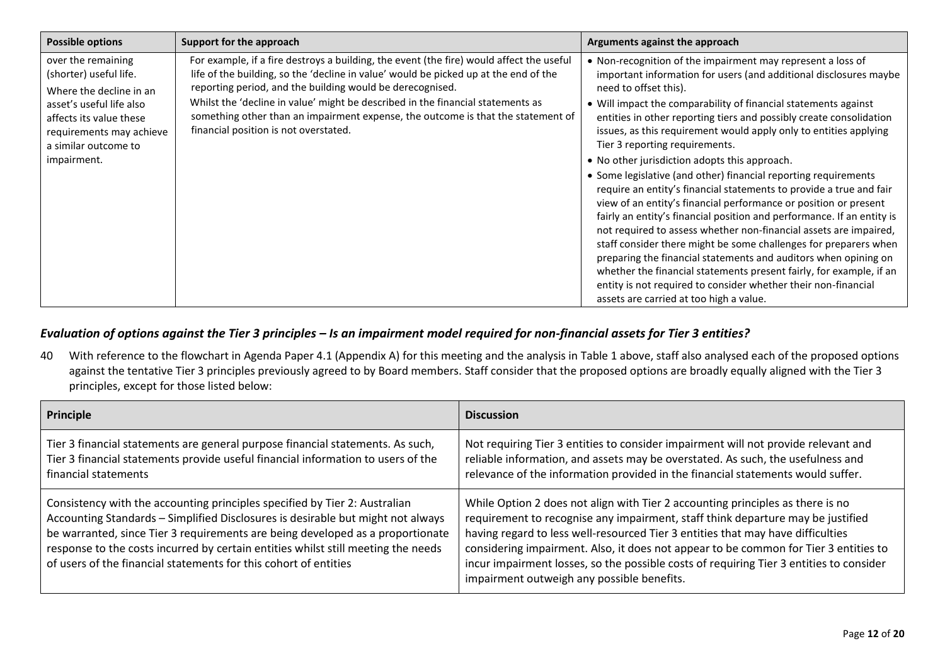| Possible options                                                                                                                                                                                  | Support for the approach                                                                                                                                                                                                                                                                                                                                                                                                                                      | Arguments against the approach                                                                                                                                                                                                                                                                                                                                                                                                                                                                                                                                                                                                                                                                                                                                                                                                                                                                                                                                                                                                                                                                                                                      |
|---------------------------------------------------------------------------------------------------------------------------------------------------------------------------------------------------|---------------------------------------------------------------------------------------------------------------------------------------------------------------------------------------------------------------------------------------------------------------------------------------------------------------------------------------------------------------------------------------------------------------------------------------------------------------|-----------------------------------------------------------------------------------------------------------------------------------------------------------------------------------------------------------------------------------------------------------------------------------------------------------------------------------------------------------------------------------------------------------------------------------------------------------------------------------------------------------------------------------------------------------------------------------------------------------------------------------------------------------------------------------------------------------------------------------------------------------------------------------------------------------------------------------------------------------------------------------------------------------------------------------------------------------------------------------------------------------------------------------------------------------------------------------------------------------------------------------------------------|
| over the remaining<br>(shorter) useful life.<br>Where the decline in an<br>asset's useful life also<br>affects its value these<br>requirements may achieve<br>a similar outcome to<br>impairment. | For example, if a fire destroys a building, the event (the fire) would affect the useful<br>life of the building, so the 'decline in value' would be picked up at the end of the<br>reporting period, and the building would be derecognised.<br>Whilst the 'decline in value' might be described in the financial statements as<br>something other than an impairment expense, the outcome is that the statement of<br>financial position is not overstated. | • Non-recognition of the impairment may represent a loss of<br>important information for users (and additional disclosures maybe<br>need to offset this).<br>• Will impact the comparability of financial statements against<br>entities in other reporting tiers and possibly create consolidation<br>issues, as this requirement would apply only to entities applying<br>Tier 3 reporting requirements.<br>• No other jurisdiction adopts this approach.<br>• Some legislative (and other) financial reporting requirements<br>require an entity's financial statements to provide a true and fair<br>view of an entity's financial performance or position or present<br>fairly an entity's financial position and performance. If an entity is<br>not required to assess whether non-financial assets are impaired,<br>staff consider there might be some challenges for preparers when<br>preparing the financial statements and auditors when opining on<br>whether the financial statements present fairly, for example, if an<br>entity is not required to consider whether their non-financial<br>assets are carried at too high a value. |

## *Evaluation of options against the Tier 3 principles – Is an impairment model required for non-financial assets for Tier 3 entities?*

40 With reference to the flowchart in Agenda Paper 4.1 (Appendix A) for this meeting and the analysis in Table 1 above, staff also analysed each of the proposed options against the tentative Tier 3 principles previously agreed to by Board members. Staff consider that the proposed options are broadly equally aligned with the Tier 3 principles, except for those listed below:

<span id="page-11-1"></span><span id="page-11-0"></span>

| Principle                                                                                                                                                                                                                                                                                                                                                                                                | <b>Discussion</b>                                                                                                                                                                                                                                                                                                                                                                                                                                                                     |
|----------------------------------------------------------------------------------------------------------------------------------------------------------------------------------------------------------------------------------------------------------------------------------------------------------------------------------------------------------------------------------------------------------|---------------------------------------------------------------------------------------------------------------------------------------------------------------------------------------------------------------------------------------------------------------------------------------------------------------------------------------------------------------------------------------------------------------------------------------------------------------------------------------|
| Tier 3 financial statements are general purpose financial statements. As such,<br>Tier 3 financial statements provide useful financial information to users of the<br>financial statements                                                                                                                                                                                                               | Not requiring Tier 3 entities to consider impairment will not provide relevant and<br>reliable information, and assets may be overstated. As such, the usefulness and<br>relevance of the information provided in the financial statements would suffer.                                                                                                                                                                                                                              |
| Consistency with the accounting principles specified by Tier 2: Australian<br>Accounting Standards - Simplified Disclosures is desirable but might not always<br>be warranted, since Tier 3 requirements are being developed as a proportionate<br>response to the costs incurred by certain entities whilst still meeting the needs<br>of users of the financial statements for this cohort of entities | While Option 2 does not align with Tier 2 accounting principles as there is no<br>requirement to recognise any impairment, staff think departure may be justified<br>having regard to less well-resourced Tier 3 entities that may have difficulties<br>considering impairment. Also, it does not appear to be common for Tier 3 entities to<br>incur impairment losses, so the possible costs of requiring Tier 3 entities to consider<br>impairment outweigh any possible benefits. |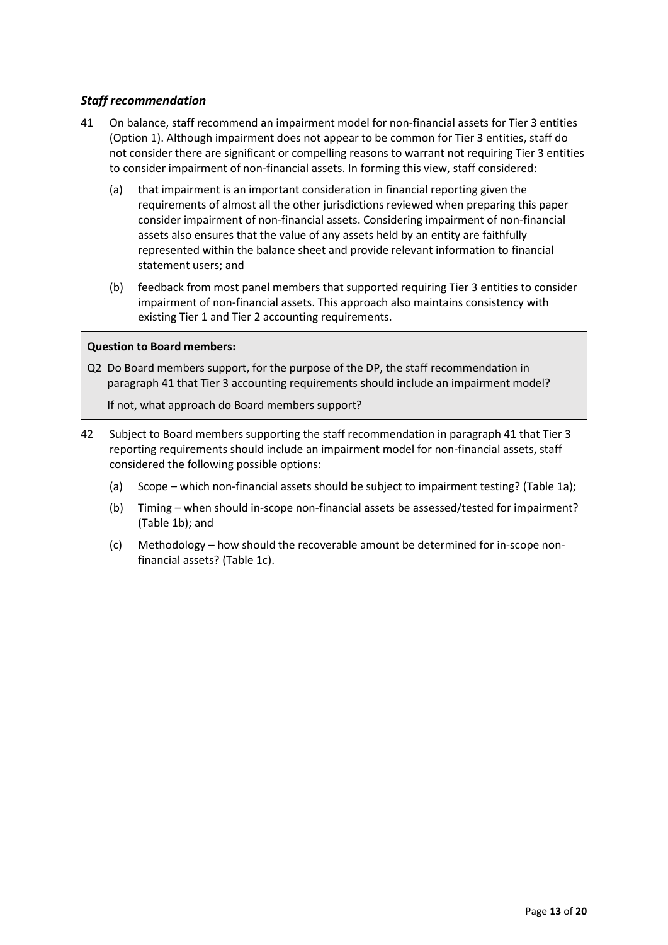## <span id="page-12-0"></span>*Staff recommendation*

- <span id="page-12-1"></span>41 On balance, staff recommend an impairment model for non-financial assets for Tier 3 entities (Option 1). Although impairment does not appear to be common for Tier 3 entities, staff do not consider there are significant or compelling reasons to warrant not requiring Tier 3 entities to consider impairment of non-financial assets. In forming this view, staff considered:
	- (a) that impairment is an important consideration in financial reporting given the requirements of almost all the other jurisdictions reviewed when preparing this paper consider impairment of non-financial assets. Considering impairment of non-financial assets also ensures that the value of any assets held by an entity are faithfully represented within the balance sheet and provide relevant information to financial statement users; and
	- (b) feedback from most panel members that supported requiring Tier 3 entities to consider impairment of non-financial assets. This approach also maintains consistency with existing Tier 1 and Tier 2 accounting requirements.

## **Question to Board members:**

Q2 Do Board members support, for the purpose of the DP, the staff recommendation in paragraph [41](#page-12-1) that Tier 3 accounting requirements should include an impairment model?

If not, what approach do Board members support?

- 42 Subject to Board members supporting the staff recommendation in paragraph [41](#page-12-1) that Tier 3 reporting requirements should include an impairment model for non-financial assets, staff considered the following possible options:
	- (a) Scope [which non-financial assets should be subject to impairment testing?](#page-13-0) [\(Table 1a\)](#page-13-0);
	- (b) Timing [when should in-scope non-financial assets be assessed/tested for impairment?](#page-14-0) [\(Table 1b\)](#page-14-0); and
	- (c) Methodology [how should the recoverable amount be determined for in-scope non](#page-16-0)[financial assets?](#page-16-0) [\(Table 1c\)](#page-16-0).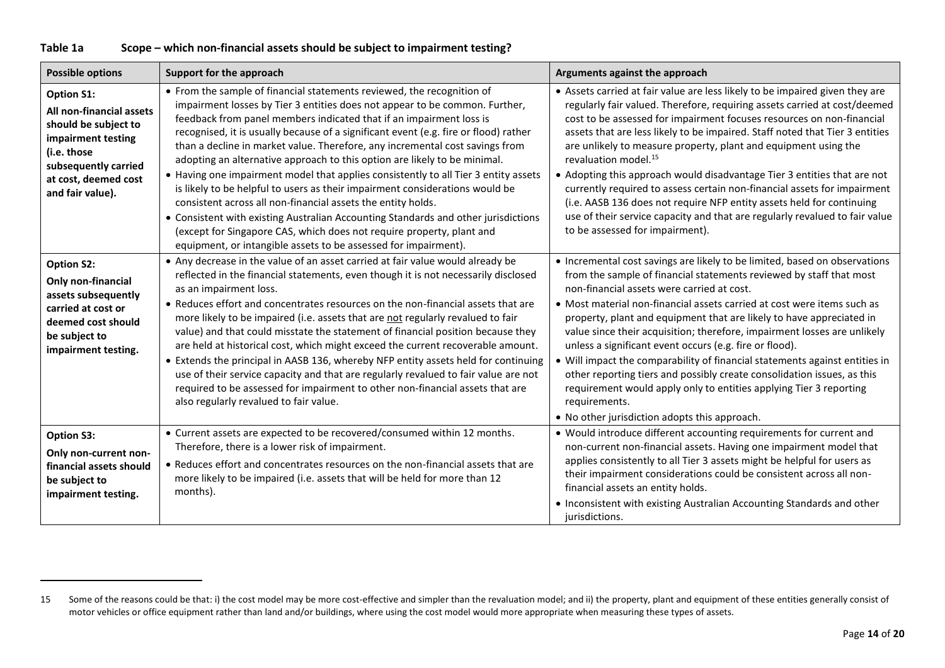| Table 1a | Scope – which non-financial assets should be subject to impairment testing? |
|----------|-----------------------------------------------------------------------------|
|----------|-----------------------------------------------------------------------------|

<span id="page-13-0"></span>

| <b>Possible options</b>                                                                                                                                                        | Support for the approach                                                                                                                                                                                                                                                                                                                                                                                                                                                                                                                                                                                                                                                                                                                                                                                                                                                                                                                                   | Arguments against the approach                                                                                                                                                                                                                                                                                                                                                                                                                                                                                                                                                                                                                                                                                                                                                              |
|--------------------------------------------------------------------------------------------------------------------------------------------------------------------------------|------------------------------------------------------------------------------------------------------------------------------------------------------------------------------------------------------------------------------------------------------------------------------------------------------------------------------------------------------------------------------------------------------------------------------------------------------------------------------------------------------------------------------------------------------------------------------------------------------------------------------------------------------------------------------------------------------------------------------------------------------------------------------------------------------------------------------------------------------------------------------------------------------------------------------------------------------------|---------------------------------------------------------------------------------------------------------------------------------------------------------------------------------------------------------------------------------------------------------------------------------------------------------------------------------------------------------------------------------------------------------------------------------------------------------------------------------------------------------------------------------------------------------------------------------------------------------------------------------------------------------------------------------------------------------------------------------------------------------------------------------------------|
| <b>Option S1:</b><br>All non-financial assets<br>should be subject to<br>impairment testing<br>(i.e. those<br>subsequently carried<br>at cost, deemed cost<br>and fair value). | • From the sample of financial statements reviewed, the recognition of<br>impairment losses by Tier 3 entities does not appear to be common. Further,<br>feedback from panel members indicated that if an impairment loss is<br>recognised, it is usually because of a significant event (e.g. fire or flood) rather<br>than a decline in market value. Therefore, any incremental cost savings from<br>adopting an alternative approach to this option are likely to be minimal.<br>• Having one impairment model that applies consistently to all Tier 3 entity assets<br>is likely to be helpful to users as their impairment considerations would be<br>consistent across all non-financial assets the entity holds.<br>• Consistent with existing Australian Accounting Standards and other jurisdictions<br>(except for Singapore CAS, which does not require property, plant and<br>equipment, or intangible assets to be assessed for impairment). | • Assets carried at fair value are less likely to be impaired given they are<br>regularly fair valued. Therefore, requiring assets carried at cost/deemed<br>cost to be assessed for impairment focuses resources on non-financial<br>assets that are less likely to be impaired. Staff noted that Tier 3 entities<br>are unlikely to measure property, plant and equipment using the<br>revaluation model. <sup>15</sup><br>• Adopting this approach would disadvantage Tier 3 entities that are not<br>currently required to assess certain non-financial assets for impairment<br>(i.e. AASB 136 does not require NFP entity assets held for continuing<br>use of their service capacity and that are regularly revalued to fair value<br>to be assessed for impairment).                |
| <b>Option S2:</b><br>Only non-financial<br>assets subsequently<br>carried at cost or<br>deemed cost should<br>be subject to<br>impairment testing.                             | • Any decrease in the value of an asset carried at fair value would already be<br>reflected in the financial statements, even though it is not necessarily disclosed<br>as an impairment loss.<br>• Reduces effort and concentrates resources on the non-financial assets that are<br>more likely to be impaired (i.e. assets that are not regularly revalued to fair<br>value) and that could misstate the statement of financial position because they<br>are held at historical cost, which might exceed the current recoverable amount.<br>• Extends the principal in AASB 136, whereby NFP entity assets held for continuing<br>use of their service capacity and that are regularly revalued to fair value are not<br>required to be assessed for impairment to other non-financial assets that are<br>also regularly revalued to fair value.                                                                                                        | • Incremental cost savings are likely to be limited, based on observations<br>from the sample of financial statements reviewed by staff that most<br>non-financial assets were carried at cost.<br>• Most material non-financial assets carried at cost were items such as<br>property, plant and equipment that are likely to have appreciated in<br>value since their acquisition; therefore, impairment losses are unlikely<br>unless a significant event occurs (e.g. fire or flood).<br>• Will impact the comparability of financial statements against entities in<br>other reporting tiers and possibly create consolidation issues, as this<br>requirement would apply only to entities applying Tier 3 reporting<br>requirements.<br>• No other jurisdiction adopts this approach. |
| <b>Option S3:</b><br>Only non-current non-<br>financial assets should<br>be subject to<br>impairment testing.                                                                  | • Current assets are expected to be recovered/consumed within 12 months.<br>Therefore, there is a lower risk of impairment.<br>• Reduces effort and concentrates resources on the non-financial assets that are<br>more likely to be impaired (i.e. assets that will be held for more than 12<br>months).                                                                                                                                                                                                                                                                                                                                                                                                                                                                                                                                                                                                                                                  | • Would introduce different accounting requirements for current and<br>non-current non-financial assets. Having one impairment model that<br>applies consistently to all Tier 3 assets might be helpful for users as<br>their impairment considerations could be consistent across all non-<br>financial assets an entity holds.<br>• Inconsistent with existing Australian Accounting Standards and other<br>jurisdictions.                                                                                                                                                                                                                                                                                                                                                                |

<sup>15</sup> Some of the reasons could be that: i) the cost model may be more cost-effective and simpler than the revaluation model; and ii) the property, plant and equipment of these entities generally consist of motor vehicles or office equipment rather than land and/or buildings, where using the cost model would more appropriate when measuring these types of assets.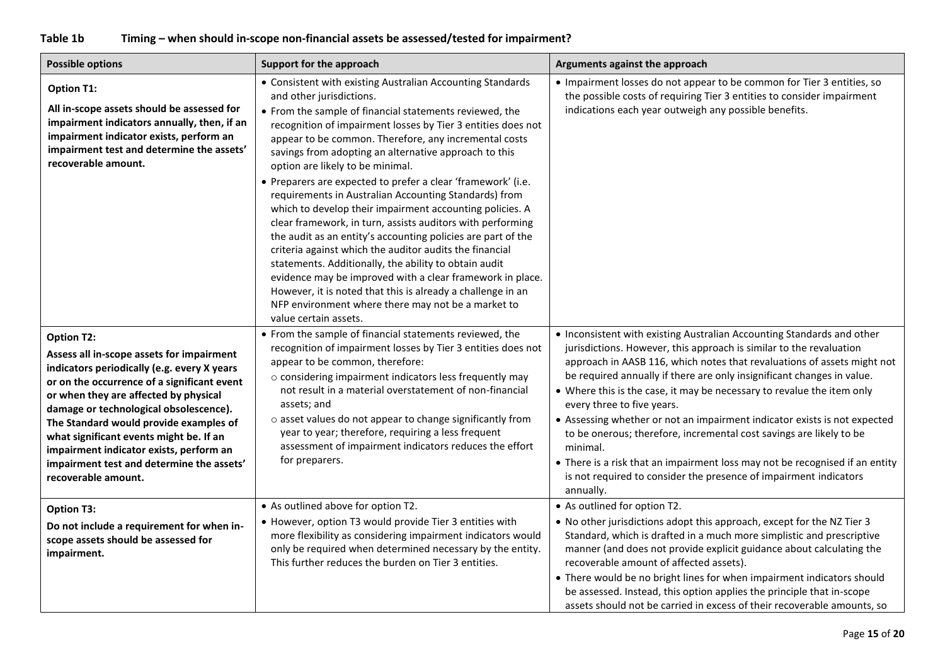# **Table 1b Timing – when should in-scope non-financial assets be assessed/tested for impairment?**

<span id="page-14-0"></span>

| <b>Possible options</b>                                                                                                                                                                                                                                                                                                                                                                                                                             | Support for the approach                                                                                                                                                                                                                                                                                                                                                                                                                                                                                                                                                                                                                                                                                                                                                                                                                                                                                                                                                                                                  | Arguments against the approach                                                                                                                                                                                                                                                                                                                                                                                                                                                                                                                                                                                                                                                                                                               |
|-----------------------------------------------------------------------------------------------------------------------------------------------------------------------------------------------------------------------------------------------------------------------------------------------------------------------------------------------------------------------------------------------------------------------------------------------------|---------------------------------------------------------------------------------------------------------------------------------------------------------------------------------------------------------------------------------------------------------------------------------------------------------------------------------------------------------------------------------------------------------------------------------------------------------------------------------------------------------------------------------------------------------------------------------------------------------------------------------------------------------------------------------------------------------------------------------------------------------------------------------------------------------------------------------------------------------------------------------------------------------------------------------------------------------------------------------------------------------------------------|----------------------------------------------------------------------------------------------------------------------------------------------------------------------------------------------------------------------------------------------------------------------------------------------------------------------------------------------------------------------------------------------------------------------------------------------------------------------------------------------------------------------------------------------------------------------------------------------------------------------------------------------------------------------------------------------------------------------------------------------|
| <b>Option T1:</b><br>All in-scope assets should be assessed for<br>impairment indicators annually, then, if an<br>impairment indicator exists, perform an<br>impairment test and determine the assets'<br>recoverable amount.                                                                                                                                                                                                                       | • Consistent with existing Australian Accounting Standards<br>and other jurisdictions.<br>• From the sample of financial statements reviewed, the<br>recognition of impairment losses by Tier 3 entities does not<br>appear to be common. Therefore, any incremental costs<br>savings from adopting an alternative approach to this<br>option are likely to be minimal.<br>• Preparers are expected to prefer a clear 'framework' (i.e.<br>requirements in Australian Accounting Standards) from<br>which to develop their impairment accounting policies. A<br>clear framework, in turn, assists auditors with performing<br>the audit as an entity's accounting policies are part of the<br>criteria against which the auditor audits the financial<br>statements. Additionally, the ability to obtain audit<br>evidence may be improved with a clear framework in place.<br>However, it is noted that this is already a challenge in an<br>NFP environment where there may not be a market to<br>value certain assets. | • Impairment losses do not appear to be common for Tier 3 entities, so<br>the possible costs of requiring Tier 3 entities to consider impairment<br>indications each year outweigh any possible benefits.                                                                                                                                                                                                                                                                                                                                                                                                                                                                                                                                    |
| <b>Option T2:</b><br>Assess all in-scope assets for impairment<br>indicators periodically (e.g. every X years<br>or on the occurrence of a significant event<br>or when they are affected by physical<br>damage or technological obsolescence).<br>The Standard would provide examples of<br>what significant events might be. If an<br>impairment indicator exists, perform an<br>impairment test and determine the assets'<br>recoverable amount. | • From the sample of financial statements reviewed, the<br>recognition of impairment losses by Tier 3 entities does not<br>appear to be common, therefore:<br>o considering impairment indicators less frequently may<br>not result in a material overstatement of non-financial<br>assets; and<br>o asset values do not appear to change significantly from<br>year to year; therefore, requiring a less frequent<br>assessment of impairment indicators reduces the effort<br>for preparers.                                                                                                                                                                                                                                                                                                                                                                                                                                                                                                                            | • Inconsistent with existing Australian Accounting Standards and other<br>jurisdictions. However, this approach is similar to the revaluation<br>approach in AASB 116, which notes that revaluations of assets might not<br>be required annually if there are only insignificant changes in value.<br>• Where this is the case, it may be necessary to revalue the item only<br>every three to five years.<br>• Assessing whether or not an impairment indicator exists is not expected<br>to be onerous; therefore, incremental cost savings are likely to be<br>minimal.<br>• There is a risk that an impairment loss may not be recognised if an entity<br>is not required to consider the presence of impairment indicators<br>annually. |
| <b>Option T3:</b><br>Do not include a requirement for when in-<br>scope assets should be assessed for<br>impairment.                                                                                                                                                                                                                                                                                                                                | • As outlined above for option T2.<br>• However, option T3 would provide Tier 3 entities with<br>more flexibility as considering impairment indicators would<br>only be required when determined necessary by the entity.<br>This further reduces the burden on Tier 3 entities.                                                                                                                                                                                                                                                                                                                                                                                                                                                                                                                                                                                                                                                                                                                                          | • As outlined for option T2.<br>. No other jurisdictions adopt this approach, except for the NZ Tier 3<br>Standard, which is drafted in a much more simplistic and prescriptive<br>manner (and does not provide explicit guidance about calculating the<br>recoverable amount of affected assets).<br>• There would be no bright lines for when impairment indicators should<br>be assessed. Instead, this option applies the principle that in-scope<br>assets should not be carried in excess of their recoverable amounts, so                                                                                                                                                                                                             |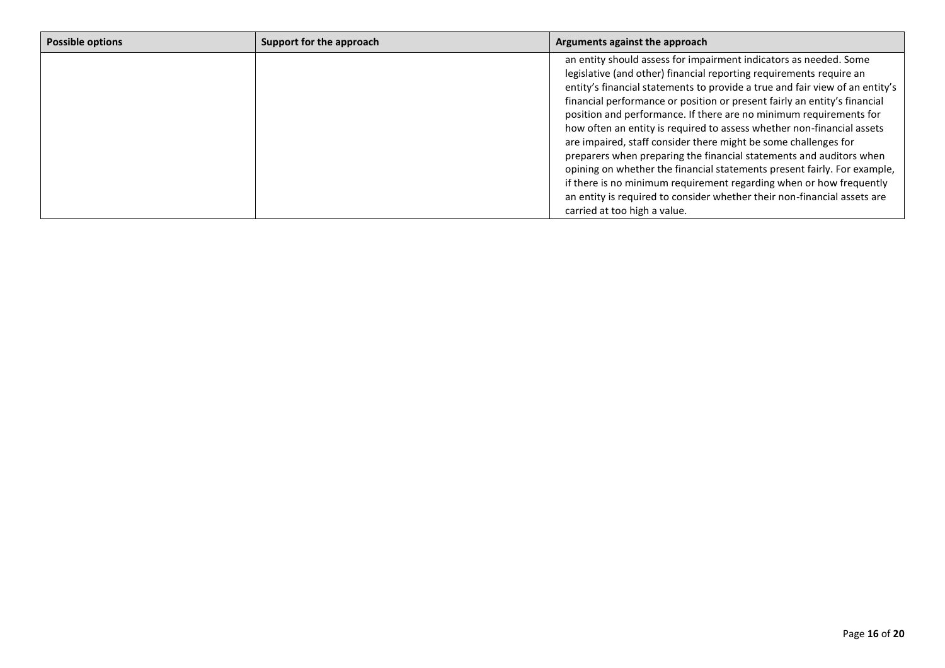| <b>Possible options</b> | Support for the approach | Arguments against the approach                                                                                                                                                                                                                                                                                                                                                                                                                                                                                                                                                                                                                                                                                                                                                                                                                                 |
|-------------------------|--------------------------|----------------------------------------------------------------------------------------------------------------------------------------------------------------------------------------------------------------------------------------------------------------------------------------------------------------------------------------------------------------------------------------------------------------------------------------------------------------------------------------------------------------------------------------------------------------------------------------------------------------------------------------------------------------------------------------------------------------------------------------------------------------------------------------------------------------------------------------------------------------|
|                         |                          | an entity should assess for impairment indicators as needed. Some<br>legislative (and other) financial reporting requirements require an<br>entity's financial statements to provide a true and fair view of an entity's<br>financial performance or position or present fairly an entity's financial<br>position and performance. If there are no minimum requirements for<br>how often an entity is required to assess whether non-financial assets<br>are impaired, staff consider there might be some challenges for<br>preparers when preparing the financial statements and auditors when<br>opining on whether the financial statements present fairly. For example,<br>if there is no minimum requirement regarding when or how frequently<br>an entity is required to consider whether their non-financial assets are<br>carried at too high a value. |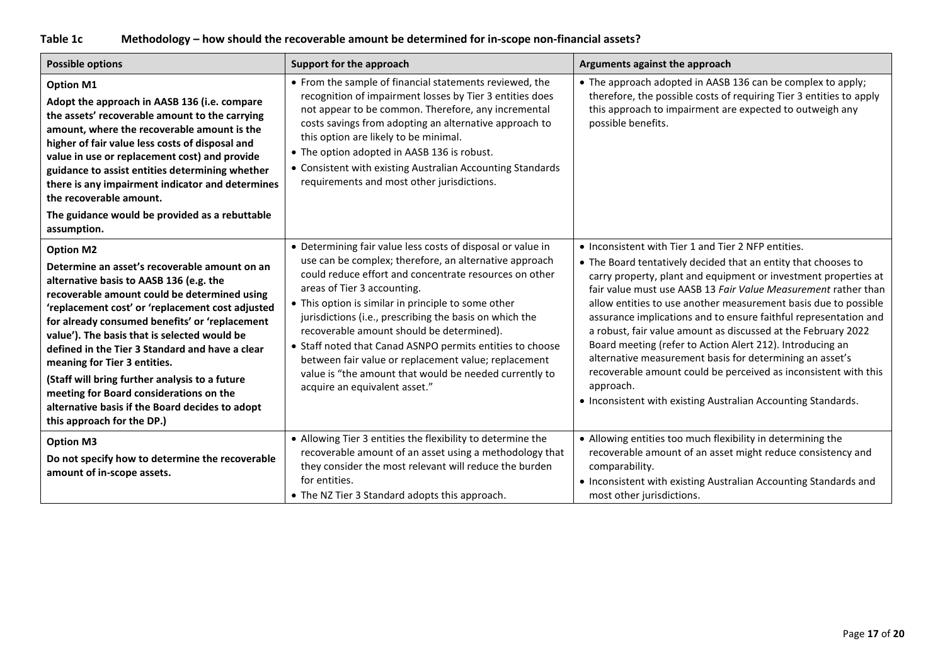# **Table 1c Methodology – how should the recoverable amount be determined for in-scope non-financial assets?**

<span id="page-16-0"></span>

| <b>Possible options</b>                                                                                                                                                                                                                                                                                                                                                                                                                                                                                                                                                             | Support for the approach                                                                                                                                                                                                                                                                                                                                                                                                                                                                                                                                                                      | Arguments against the approach                                                                                                                                                                                                                                                                                                                                                                                                                                                                                                                                                                                                                                                                                                               |
|-------------------------------------------------------------------------------------------------------------------------------------------------------------------------------------------------------------------------------------------------------------------------------------------------------------------------------------------------------------------------------------------------------------------------------------------------------------------------------------------------------------------------------------------------------------------------------------|-----------------------------------------------------------------------------------------------------------------------------------------------------------------------------------------------------------------------------------------------------------------------------------------------------------------------------------------------------------------------------------------------------------------------------------------------------------------------------------------------------------------------------------------------------------------------------------------------|----------------------------------------------------------------------------------------------------------------------------------------------------------------------------------------------------------------------------------------------------------------------------------------------------------------------------------------------------------------------------------------------------------------------------------------------------------------------------------------------------------------------------------------------------------------------------------------------------------------------------------------------------------------------------------------------------------------------------------------------|
| <b>Option M1</b><br>Adopt the approach in AASB 136 (i.e. compare<br>the assets' recoverable amount to the carrying<br>amount, where the recoverable amount is the<br>higher of fair value less costs of disposal and<br>value in use or replacement cost) and provide<br>guidance to assist entities determining whether<br>there is any impairment indicator and determines<br>the recoverable amount.<br>The guidance would be provided as a rebuttable<br>assumption.                                                                                                            | • From the sample of financial statements reviewed, the<br>recognition of impairment losses by Tier 3 entities does<br>not appear to be common. Therefore, any incremental<br>costs savings from adopting an alternative approach to<br>this option are likely to be minimal.<br>• The option adopted in AASB 136 is robust.<br>• Consistent with existing Australian Accounting Standards<br>requirements and most other jurisdictions.                                                                                                                                                      | • The approach adopted in AASB 136 can be complex to apply;<br>therefore, the possible costs of requiring Tier 3 entities to apply<br>this approach to impairment are expected to outweigh any<br>possible benefits.                                                                                                                                                                                                                                                                                                                                                                                                                                                                                                                         |
| <b>Option M2</b><br>Determine an asset's recoverable amount on an<br>alternative basis to AASB 136 (e.g. the<br>recoverable amount could be determined using<br>'replacement cost' or 'replacement cost adjusted<br>for already consumed benefits' or 'replacement<br>value'). The basis that is selected would be<br>defined in the Tier 3 Standard and have a clear<br>meaning for Tier 3 entities.<br>(Staff will bring further analysis to a future<br>meeting for Board considerations on the<br>alternative basis if the Board decides to adopt<br>this approach for the DP.) | • Determining fair value less costs of disposal or value in<br>use can be complex; therefore, an alternative approach<br>could reduce effort and concentrate resources on other<br>areas of Tier 3 accounting.<br>• This option is similar in principle to some other<br>jurisdictions (i.e., prescribing the basis on which the<br>recoverable amount should be determined).<br>• Staff noted that Canad ASNPO permits entities to choose<br>between fair value or replacement value; replacement<br>value is "the amount that would be needed currently to<br>acquire an equivalent asset." | • Inconsistent with Tier 1 and Tier 2 NFP entities.<br>• The Board tentatively decided that an entity that chooses to<br>carry property, plant and equipment or investment properties at<br>fair value must use AASB 13 Fair Value Measurement rather than<br>allow entities to use another measurement basis due to possible<br>assurance implications and to ensure faithful representation and<br>a robust, fair value amount as discussed at the February 2022<br>Board meeting (refer to Action Alert 212). Introducing an<br>alternative measurement basis for determining an asset's<br>recoverable amount could be perceived as inconsistent with this<br>approach.<br>• Inconsistent with existing Australian Accounting Standards. |
| <b>Option M3</b><br>Do not specify how to determine the recoverable<br>amount of in-scope assets.                                                                                                                                                                                                                                                                                                                                                                                                                                                                                   | • Allowing Tier 3 entities the flexibility to determine the<br>recoverable amount of an asset using a methodology that<br>they consider the most relevant will reduce the burden<br>for entities.<br>• The NZ Tier 3 Standard adopts this approach.                                                                                                                                                                                                                                                                                                                                           | • Allowing entities too much flexibility in determining the<br>recoverable amount of an asset might reduce consistency and<br>comparability.<br>• Inconsistent with existing Australian Accounting Standards and<br>most other jurisdictions.                                                                                                                                                                                                                                                                                                                                                                                                                                                                                                |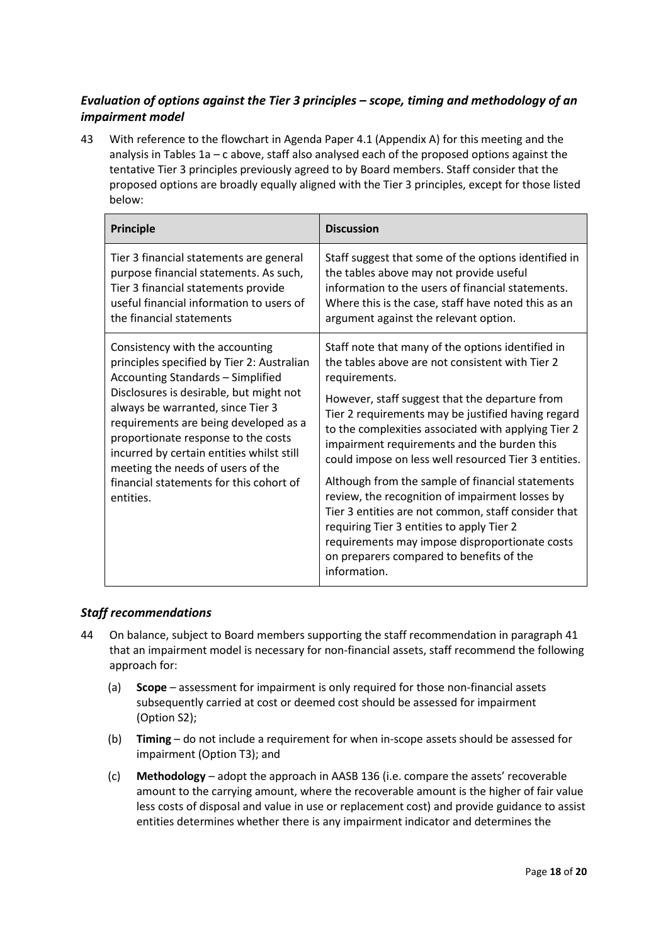# <span id="page-17-0"></span>*Evaluation of options against the Tier 3 principles – scope, timing and methodology of an impairment model*

<span id="page-17-1"></span>43 With reference to the flowchart in Agenda Paper 4.1 (Appendix A) for this meeting and the analysis in Tables 1a – c above, staff also analysed each of the proposed options against the tentative Tier 3 principles previously agreed to by Board members. Staff consider that the proposed options are broadly equally aligned with the Tier 3 principles, except for those listed below:

| <b>Principle</b>                                                                                                                                                                                                                                                                                                                                                                                                                    | <b>Discussion</b>                                                                                                                                                                                                                                                                                                                                                                                                                                                                                                                                                                                                                                                                                                    |
|-------------------------------------------------------------------------------------------------------------------------------------------------------------------------------------------------------------------------------------------------------------------------------------------------------------------------------------------------------------------------------------------------------------------------------------|----------------------------------------------------------------------------------------------------------------------------------------------------------------------------------------------------------------------------------------------------------------------------------------------------------------------------------------------------------------------------------------------------------------------------------------------------------------------------------------------------------------------------------------------------------------------------------------------------------------------------------------------------------------------------------------------------------------------|
| Tier 3 financial statements are general<br>purpose financial statements. As such,<br>Tier 3 financial statements provide<br>useful financial information to users of<br>the financial statements                                                                                                                                                                                                                                    | Staff suggest that some of the options identified in<br>the tables above may not provide useful<br>information to the users of financial statements.<br>Where this is the case, staff have noted this as an<br>argument against the relevant option.                                                                                                                                                                                                                                                                                                                                                                                                                                                                 |
| Consistency with the accounting<br>principles specified by Tier 2: Australian<br><b>Accounting Standards - Simplified</b><br>Disclosures is desirable, but might not<br>always be warranted, since Tier 3<br>requirements are being developed as a<br>proportionate response to the costs<br>incurred by certain entities whilst still<br>meeting the needs of users of the<br>financial statements for this cohort of<br>entities. | Staff note that many of the options identified in<br>the tables above are not consistent with Tier 2<br>requirements.<br>However, staff suggest that the departure from<br>Tier 2 requirements may be justified having regard<br>to the complexities associated with applying Tier 2<br>impairment requirements and the burden this<br>could impose on less well resourced Tier 3 entities.<br>Although from the sample of financial statements<br>review, the recognition of impairment losses by<br>Tier 3 entities are not common, staff consider that<br>requiring Tier 3 entities to apply Tier 2<br>requirements may impose disproportionate costs<br>on preparers compared to benefits of the<br>information. |

## <span id="page-17-2"></span>*Staff recommendations*

- <span id="page-17-3"></span>44 On balance, subject to Board members supporting the staff recommendation in paragraph [41](#page-12-1) that an impairment model is necessary for non-financial assets, staff recommend the following approach for:
	- (a) **Scope** assessment for impairment is only required for those non-financial assets subsequently carried at cost or deemed cost should be assessed for impairment (Option S2);
	- (b) **Timing** do not include a requirement for when in-scope assets should be assessed for impairment (Option T3); and
	- (c) **Methodology**  adopt the approach in AASB 136 (i.e. compare the assets' recoverable amount to the carrying amount, where the recoverable amount is the higher of fair value less costs of disposal and value in use or replacement cost) and provide guidance to assist entities determines whether there is any impairment indicator and determines the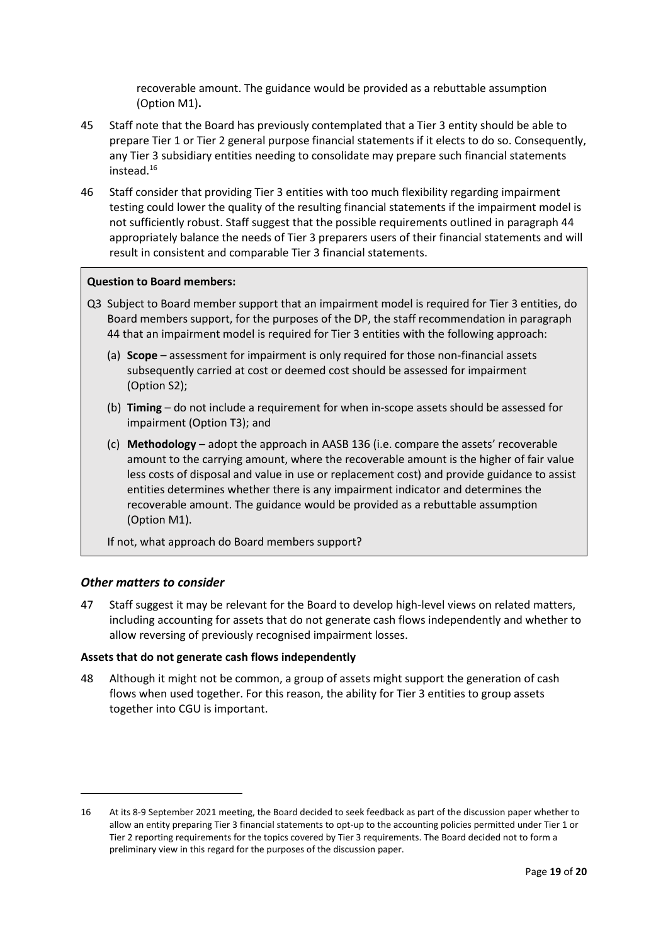recoverable amount. The guidance would be provided as a rebuttable assumption (Option M1)**.**

- 45 Staff note that the Board has previously contemplated that a Tier 3 entity should be able to prepare Tier 1 or Tier 2 general purpose financial statements if it elects to do so. Consequently, any Tier 3 subsidiary entities needing to consolidate may prepare such financial statements instead.<sup>16</sup>
- <span id="page-18-0"></span>46 Staff consider that providing Tier 3 entities with too much flexibility regarding impairment testing could lower the quality of the resulting financial statements if the impairment model is not sufficiently robust. Staff suggest that the possible requirements outlined in paragrap[h 44](#page-17-3) appropriately balance the needs of Tier 3 preparers users of their financial statements and will result in consistent and comparable Tier 3 financial statements.

#### **Question to Board members:**

- Q3 Subject to Board member support that an impairment model is required for Tier 3 entities, do Board members support, for the purposes of the DP, the staff recommendation in paragraph [44](#page-17-3) that an impairment model is required for Tier 3 entities with the following approach:
	- (a) **Scope** assessment for impairment is only required for those non-financial assets subsequently carried at cost or deemed cost should be assessed for impairment (Option S2);
	- (b) **Timing** do not include a requirement for when in-scope assets should be assessed for impairment (Option T3); and
	- (c) **Methodology** adopt the approach in AASB 136 (i.e. compare the assets' recoverable amount to the carrying amount, where the recoverable amount is the higher of fair value less costs of disposal and value in use or replacement cost) and provide guidance to assist entities determines whether there is any impairment indicator and determines the recoverable amount. The guidance would be provided as a rebuttable assumption (Option M1).

If not, what approach do Board members support?

### <span id="page-18-1"></span>*Other matters to consider*

<span id="page-18-2"></span>47 Staff suggest it may be relevant for the Board to develop high-level views on related matters, including accounting for assets that do not generate cash flows independently and whether to allow reversing of previously recognised impairment losses.

#### **Assets that do not generate cash flows independently**

48 Although it might not be common, a group of assets might support the generation of cash flows when used together. For this reason, the ability for Tier 3 entities to group assets together into CGU is important.

<sup>16</sup> At its 8-9 September 2021 meeting, the Board decided to seek feedback as part of the discussion paper whether to allow an entity preparing Tier 3 financial statements to opt-up to the accounting policies permitted under Tier 1 or Tier 2 reporting requirements for the topics covered by Tier 3 requirements. The Board decided not to form a preliminary view in this regard for the purposes of the discussion paper.